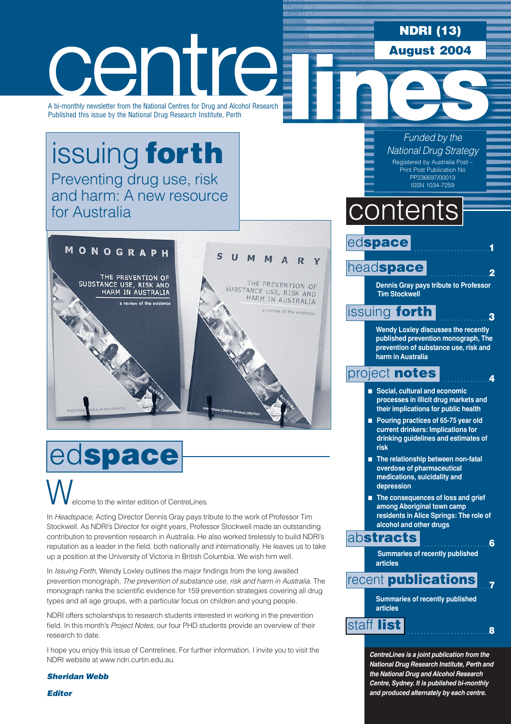### **NDRI (13) August 2004**

centre A bi-monthly newsletter from the National Centres for Drug and Alcohol Research Published this issue by the National Drug Research Institute, Perth

[issuing](#page-2-0) **forth** Preventing drug use, risk and harm: A new resource for Australia



# ed**space**

elcome to the winter edition of CentreLines. W.

In *Headspace*, Acting Director Dennis Gray pays tribute to the work of Professor Tim Stockwell. As NDRI's Director for eight years, Professor Stockwell made an outstanding contribution to prevention research in Australia. He also worked tirelessly to build NDRI's reputation as a leader in the field, both nationally and internationally. He leaves us to take up a position at the University of Victoria in British Columbia. We wish him well.

In *Issuing Forth*, Wendy Loxley outlines the major findings from the long awaited prevention monograph, *The prevention of substance use, risk and harm in Australia*. The monograph ranks the scientific evidence for 159 prevention strategies covering all drug types and all age groups, with a particular focus on children and young people.

NDRI offers scholarships to research students interested in working in the prevention field. In this month's *Project Notes*, our four PHD students provide an overview of their research to date.

I hope you enjoy this issue of Centrelines. For further information, I invite you to visit the NDRI website at www.ndri.curtin.edu.au.

*Sheridan Webb*

*Editor* 

*Funded by the National Drug Strategy* Registered by Australia Post – Print Post Publication No PP236697/00013

ISSN 1034-7259

## contents

### ed**space**

head**[space](#page-1-0)**

**Dennis Gray pays tribute to Professor Tim Stockwell** 

. . . . . . . . . . . . . . . . . . . . . . .**1**

. . . . . . . . . . . . . . . . . .**2**

. . . . . . . . . . . . . . .**3**

. . . . . . . . . . . . . .**4**

### [issuing](#page-2-0) **forth**

**Wendy Loxley discusses the recently published prevention monograph, The prevention of substance use, risk and harm in Australia**

### [project](#page-3-0) **notes**

- **Social, cultural and economic processes in illicit drug markets and their implications for public health**
- **Pouring practices of 65-75 year old current drinkers: Implications for drinking guidelines and estimates of risk**
- **The relationship between non-fatal overdose of pharmaceutical medications, suicidality and depression**
- **The consequences of loss and grief among Aboriginal town camp residents in Alice Springs: The role of alcohol and other drugs**

### ab**[stracts](#page-5-0)**

 . . . . . . . . . . . . . . . . . . . .**6 Summaries of recently published articles**

#### . . .**7** recent **[publications](#page-6-0)**

**Summaries of recently published articles**

. . . . . . . . . . . . . . . . . . . . . . . . .**<sup>8</sup>** [staff](#page-7-0) **list**

*CentreLines is a joint publication from the National Drug Research Institute, Perth and the National Drug and Alcohol Research Centre, Sydney. It is published bi-monthly and produced alternately by each centre.*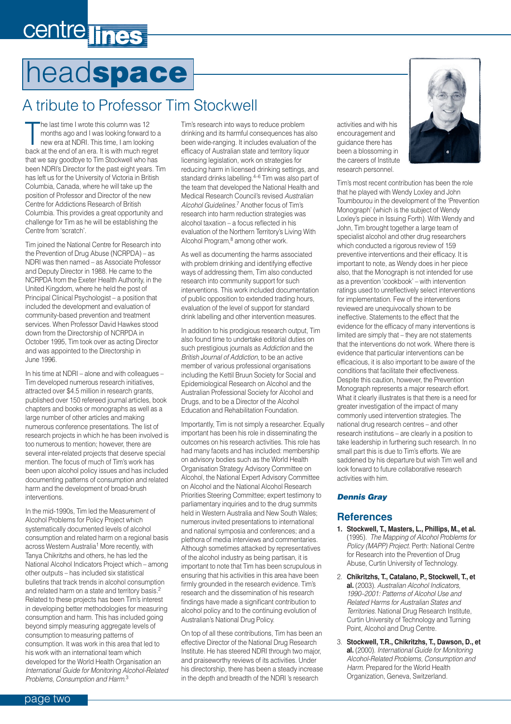# <span id="page-1-0"></span>centre lines

## head**space**

### A tribute to Professor Tim Stockwell

The last time I wrote this column was 12<br>months ago and I was looking forward to a<br>new era at NDRI. This time, I am looking<br>back at the end of an era. It is with much regret he last time I wrote this column was 12 months ago and I was looking forward to a new era at NDRI. This time, I am looking that we say goodbye to Tim Stockwell who has been NDRI's Director for the past eight years. Tim has left us for the University of Victoria in British Columbia, Canada, where he will take up the position of Professor and Director of the new Centre for Addictions Research of British Columbia. This provides a great opportunity and challenge for Tim as he will be establishing the Centre from 'scratch'.

Tim joined the National Centre for Research into the Prevention of Drug Abuse (NCRPDA) – as NDRI was then named – as Associate Professor and Deputy Director in 1988. He came to the NCRPDA from the Exeter Health Authority, in the United Kingdom, where he held the post of Principal Clinical Psychologist – a position that included the development and evaluation of community-based prevention and treatment services. When Professor David Hawkes stood down from the Directorship of NCRPDA in October 1995, Tim took over as acting Director and was appointed to the Directorship in June 1996.

In his time at NDRI – alone and with colleagues – Tim developed numerous research initiatives, attracted over \$4.5 million in research grants, published over 150 refereed journal articles, book chapters and books or monographs as well as a large number of other articles and making numerous conference presentations. The list of research projects in which he has been involved is too numerous to mention; however, there are several inter-related projects that deserve special mention. The focus of much of Tim's work has been upon alcohol policy issues and has included documenting patterns of consumption and related harm and the development of broad-brush interventions.

In the mid-1990s, Tim led the Measurement of Alcohol Problems for Policy Project which systematically documented levels of alcohol consumption and related harm on a regional basis across Western Australia<sup>1</sup> More recently, with Tanya Chikritzhs and others, he has led the National Alcohol Indicators Project which – among other outputs – has included six statistical bulletins that track trends in alcohol consumption and related harm on a state and territory basis.<sup>2</sup> Related to these projects has been Tim's interest in developing better methodologies for measuring consumption and harm. This has included going beyond simply measuring aggregate levels of consumption to measuring patterns of consumption. It was work in this area that led to his work with an international team which developed for the World Health Organisation an *International Guide for Monitoring Alcohol-Related Problems, Consumption and Harm*. 3

Tim's research into ways to reduce problem drinking and its harmful consequences has also been wide-ranging. It includes evaluation of the efficacy of Australian state and territory liquor licensing legislation, work on strategies for reducing harm in licensed drinking settings, and standard drinks labelling.4–6 Tim was also part of the team that developed the National Health and Medical Research Council's revised *Australian Alcohol Guidelines.*<sup>7</sup> Another focus of Tim's research into harm reduction strategies was alcohol taxation – a focus reflected in his evaluation of the Northern Territory's Living With Alcohol Program,<sup>8</sup> among other work.

As well as documenting the harms associated with problem drinking and identifying effective ways of addressing them, Tim also conducted research into community support for such interventions. This work included documentation of public opposition to extended trading hours, evaluation of the level of support for standard drink labelling and other intervention measures.

In addition to his prodigious research output, Tim also found time to undertake editorial duties on such prestigious journals as *Addiction* and the *British Journal of Addiction*, to be an active member of various professional organisations including the Kettil Bruun Society for Social and Epidemiological Research on Alcohol and the Australian Professional Society for Alcohol and Drugs, and to be a Director of the Alcohol Education and Rehabilitation Foundation.

Importantly, Tim is not simply a researcher. Equally important has been his role in disseminating the outcomes on his research activities. This role has had many facets and has included: membership on advisory bodies such as the World Health Organisation Strategy Advisory Committee on Alcohol, the National Expert Advisory Committee on Alcohol and the National Alcohol Research Priorities Steering Committee; expert testimony to parliamentary inquiries and to the drug summits held in Western Australia and New South Wales; numerous invited presentations to international and national symposia and conferences; and a plethora of media interviews and commentaries. Although sometimes attacked by representatives of the alcohol industry as being partisan, it is important to note that Tim has been scrupulous in ensuring that his activities in this area have been firmly grounded in the research evidence. Tim's research and the dissemination of his research findings have made a significant contribution to alcohol policy and to the continuing evolution of Australian's National Drug Policy.

On top of all these contributions, Tim has been an effective Director of the National Drug Research Institute. He has steered NDRI through two major, and praiseworthy reviews of its activities. Under his directorship, there has been a steady increase in the depth and breadth of the NDRI 's research

activities and with his encouragement and guidance there has been a blossoming in the careers of Institute research personnel.

Tim's most recent contribution has been the role that he played with Wendy Loxley and John Toumbourou in the development of the 'Prevention Monograph' (which is the subject of Wendy Loxley's piece in Issuing Forth). With Wendy and John, Tim brought together a large team of specialist alcohol and other drug researchers which conducted a rigorous review of 159 preventive interventions and their efficacy. It is important to note, as Wendy does in her piece also, that the Monograph is not intended for use as a prevention 'cookbook' – with intervention ratings used to unreflectively select interventions for implementation. Few of the interventions reviewed are unequivocally shown to be ineffective. Statements to the effect that the evidence for the efficacy of many interventions is limited are simply that – they are not statements that the interventions do not work. Where there is evidence that particular interventions can be efficacious, it is also important to be aware of the conditions that facilitate their effectiveness. Despite this caution, however, the Prevention Monograph represents a major research effort. What it clearly illustrates is that there is a need for greater investigation of the impact of many commonly used intervention strategies. The national drug research centres – and other research institutions – are clearly in a position to take leadership in furthering such research. In no small part this is due to Tim's efforts. We are saddened by his departure but wish Tim well and look forward to future collaborative research activities with him.

### *Dennis Gray*

### **References**

- **1. Stockwell, T., Masters, L., Phillips, M., et al.** (1995). *The Mapping of Alcohol Problems for Policy (MAPP) Project.* Perth: National Centre for Research into the Prevention of Drug Abuse, Curtin University of Technology.
- 2. **Chikritzhs, T., Catalano, P., Stockwell, T., et al.** (2003). *Australian Alcohol Indicators, 1990–2001: Patterns of Alcohol Use and Related Harms for Australian States and Territories.* National Drug Research Institute, Curtin University of Technology and Turning Point, Alcohol and Drug Centre.
- 3. **Stockwell, T.R., Chikritzhs, T., Dawson, D., et al.** (2000). *International Guide for Monitoring Alcohol-Related Problems, Consumption and Harm*. Prepared for the World Health Organization, Geneva, Switzerland.

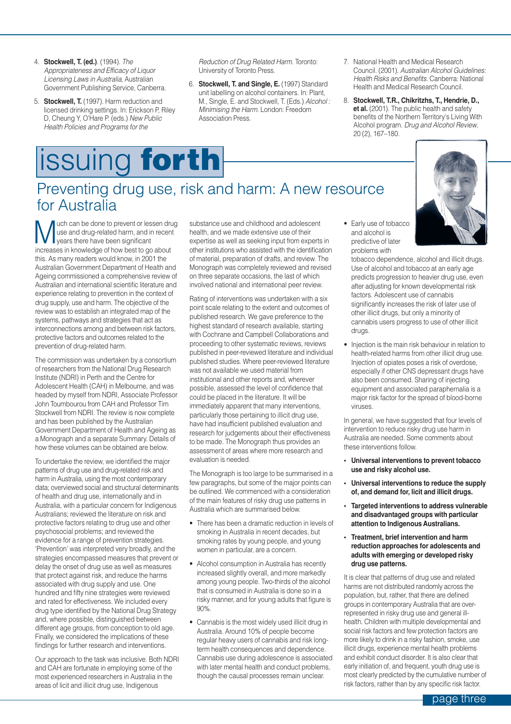- <span id="page-2-0"></span>4. **Stockwell, T. (ed.)**. (1994). *The Appropriateness and Efficacy of Liquor Licensing Laws in Australia*, Australian Government Publishing Service, Canberra.
- 5. **Stockwell, T.** (1997). Harm reduction and licensed drinking settings. In: Erickson P, Riley D, Cheung Y, O'Hare P. (eds.) *New Public Health Policies and Programs for the*

# issuing **forth**

*Reduction of Drug Related Harm*. Toronto: University of Toronto Press.

- 6. **Stockwell, T. and Single, E.** (1997) Standard unit labelling on alcohol containers. In: Plant, M., Single, E. and Stockwell, T. (Eds.) *Alcohol : Minimising the Harm*. London: Freedom Association Press.
- 7. National Health and Medical Research Council. (2001). *Australian Alcohol Guidelines: Health Risks and Benefits*. Canberra: National Health and Medical Research Council.
- 8. **Stockwell, T.R., Chikritzhs, T., Hendrie, D., et al.** (2001). The public health and safety benefits of the Northern Territory's Living With Alcohol program. *Drug and Alcohol Review*, 20 (2), 167–180.

### Preventing drug use, risk and harm: A new resource for Australia

which can be done to prevent or lessen drug<br>use and drug-related harm, and in recent<br>increases in knowledge of how best to go about use and drug-related harm, and in recent years there have been significant increases in knowledge of how best to go about this. As many readers would know, in 2001 the Australian Government Department of Health and Ageing commissioned a comprehensive review of Australian and international scientific literature and experience relating to prevention in the context of drug supply, use and harm. The objective of the review was to establish an integrated map of the systems, pathways and strategies that act as interconnections among and between risk factors, protective factors and outcomes related to the prevention of drug-related harm.

The commission was undertaken by a consortium of researchers from the National Drug Research Institute (NDRI) in Perth and the Centre for Adolescent Health (CAH) in Melbourne, and was headed by myself from NDRI, Associate Professor John Toumbourou from CAH and Professor Tim Stockwell from NDRI. The review is now complete and has been published by the Australian Government Department of Health and Ageing as a Monograph and a separate Summary. Details of how these volumes can be obtained are below.

To undertake the review, we identified the major patterns of drug use and drug-related risk and harm in Australia, using the most contemporary data; overviewed social and structural determinants of health and drug use, internationally and in Australia, with a particular concern for Indigenous Australians; reviewed the literature on risk and protective factors relating to drug use and other psychosocial problems; and reviewed the evidence for a range of prevention strategies. 'Prevention' was interpreted very broadly, and the strategies encompassed measures that prevent or delay the onset of drug use as well as measures that protect against risk, and reduce the harms associated with drug supply and use. One hundred and fifty nine strategies were reviewed and rated for effectiveness. We included every drug type identified by the National Drug Strategy and, where possible, distinguished between different age groups, from conception to old age. Finally, we considered the implications of these findings for further research and interventions.

Our approach to the task was inclusive. Both NDRI and CAH are fortunate in employing some of the most experienced researchers in Australia in the areas of licit and illicit drug use, Indigenous

substance use and childhood and adolescent health, and we made extensive use of their expertise as well as seeking input from experts in other institutions who assisted with the identification of material, preparation of drafts, and review. The Monograph was completely reviewed and revised on three separate occasions, the last of which involved national and international peer review.

Rating of interventions was undertaken with a six point scale relating to the extent and outcomes of published research. We gave preference to the highest standard of research available, starting with Cochrane and Campbell Collaborations and proceeding to other systematic reviews, reviews published in peer-reviewed literature and individual published studies. Where peer-reviewed literature was not available we used material from institutional and other reports and, wherever possible, assessed the level of confidence that could be placed in the literature. It will be immediately apparent that many interventions, particularly those pertaining to illicit drug use, have had insufficient published evaluation and research for judgements about their effectiveness to be made. The Monograph thus provides an assessment of areas where more research and evaluation is needed.

The Monograph is too large to be summarised in a few paragraphs, but some of the major points can be outlined. We commenced with a consideration of the main features of risky drug use patterns in Australia which are summarised below.

- There has been a dramatic reduction in levels of smoking in Australia in recent decades, but smoking rates by young people, and young women in particular, are a concern.
- Alcohol consumption in Australia has recently increased slightly overall, and more markedly among young people. Two-thirds of the alcohol that is consumed in Australia is done so in a risky manner, and for young adults that figure is 90%.
- Cannabis is the most widely used illicit drug in Australia. Around 10% of people become regular heavy users of cannabis and risk longterm health consequences and dependence. Cannabis use during adolescence is associated with later mental health and conduct problems, though the causal processes remain unclear.

• Early use of tobacco and alcohol is predictive of later problems with

drugs.



tobacco dependence, alcohol and illicit drugs. Use of alcohol and tobacco at an early age predicts progression to heavier drug use, even after adjusting for known developmental risk factors. Adolescent use of cannabis significantly increases the risk of later use of other illicit drugs, but only a minority of cannabis users progress to use of other illicit

• Injection is the main risk behaviour in relation to health-related harms from other illicit drug use. Injection of opiates poses a risk of overdose, especially if other CNS depressant drugs have also been consumed. Sharing of injecting equipment and associated paraphernalia is a major risk factor for the spread of blood-borne viruses.

In general, we have suggested that four levels of intervention to reduce risky drug use harm in Australia are needed. Some comments about these interventions follow.

- **Universal interventions to prevent tobacco use and risky alcohol use.**
- **Universal interventions to reduce the supply of, and demand for, licit and illicit drugs.**
- **Targeted interventions to address vulnerable and disadvantaged groups with particular attention to Indigenous Australians.**
- **Treatment, brief intervention and harm reduction approaches for adolescents and adults with emerging or developed risky drug use patterns.**

It is clear that patterns of drug use and related harms are not distributed randomly across the population, but, rather, that there are defined groups in contemporary Australia that are overrepresented in risky drug use and general illhealth. Children with multiple developmental and social risk factors and few protection factors are more likely to drink in a risky fashion, smoke, use illicit drugs, experience mental health problems and exhibit conduct disorder. It is also clear that early initiation of, and frequent, youth drug use is most clearly predicted by the cumulative number of risk factors, rather than by any specific risk factor.

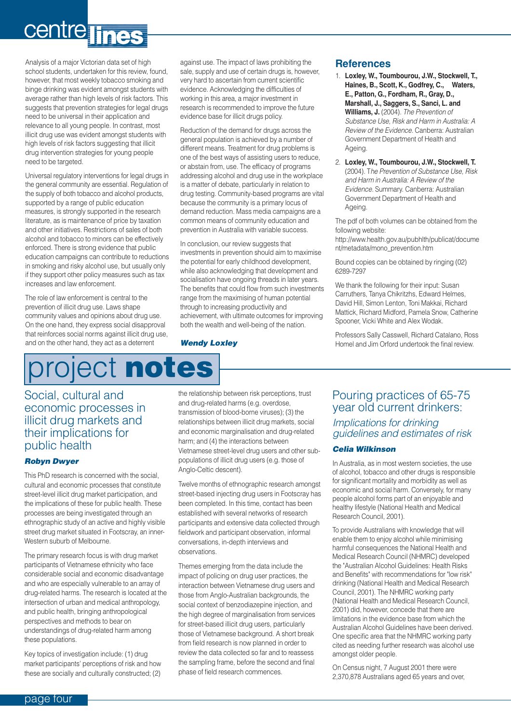# <span id="page-3-0"></span>centre lines

Analysis of a major Victorian data set of high school students, undertaken for this review, found, however, that most weekly tobacco smoking and binge drinking was evident amongst students with average rather than high levels of risk factors. This suggests that prevention strategies for legal drugs need to be universal in their application and relevance to all young people. In contrast, most illicit drug use was evident amongst students with high levels of risk factors suggesting that illicit drug intervention strategies for young people need to be targeted.

Universal regulatory interventions for legal drugs in the general community are essential. Regulation of the supply of both tobacco and alcohol products, supported by a range of public education measures, is strongly supported in the research literature, as is maintenance of price by taxation and other initiatives. Restrictions of sales of both alcohol and tobacco to minors can be effectively enforced. There is strong evidence that public education campaigns can contribute to reductions in smoking and risky alcohol use, but usually only if they support other policy measures such as tax increases and law enforcement.

The role of law enforcement is central to the prevention of illicit drug use. Laws shape community values and opinions about drug use. On the one hand, they express social disapproval that reinforces social norms against illicit drug use, and on the other hand, they act as a deterrent

# project **notes**

### Social, cultural and economic processes in illicit drug markets and their implications for public health

### *Robyn Dwyer*

This PhD research is concerned with the social, cultural and economic processes that constitute street-level illicit drug market participation, and the implications of these for public health. These processes are being investigated through an ethnographic study of an active and highly visible street drug market situated in Footscray, an inner-Western suburb of Melbourne.

The primary research focus is with drug market participants of Vietnamese ethnicity who face considerable social and economic disadvantage and who are especially vulnerable to an array of drug-related harms. The research is located at the intersection of urban and medical anthropology, and public health, bringing anthropological perspectives and methods to bear on understandings of drug-related harm among these populations.

Key topics of investigation include: (1) drug market participants' perceptions of risk and how these are socially and culturally constructed; (2)

against use. The impact of laws prohibiting the sale, supply and use of certain drugs is, however, very hard to ascertain from current scientific evidence. Acknowledging the difficulties of working in this area, a major investment in research is recommended to improve the future evidence base for illicit drugs policy.

Reduction of the demand for drugs across the general population is achieved by a number of different means. Treatment for drug problems is one of the best ways of assisting users to reduce, or abstain from, use. The efficacy of programs addressing alcohol and drug use in the workplace is a matter of debate, particularly in relation to drug testing. Community-based programs are vital because the community is a primary locus of demand reduction. Mass media campaigns are a common means of community education and prevention in Australia with variable success.

In conclusion, our review suggests that investments in prevention should aim to maximise the potential for early childhood development, while also acknowledging that development and socialisation have ongoing threads in later years. The benefits that could flow from such investments range from the maximising of human potential through to increasing productivity and achievement, with ultimate outcomes for improving both the wealth and well-being of the nation.

#### *Wendy Loxley*

### **References**

- 1. **Loxley, W., Toumbourou, J.W., Stockwell, T., Haines, B., Scott, K., Godfrey, C., Waters, E., Patton, G., Fordham, R., Gray, D., Marshall, J., Saggers, S., Sanci, L. and Williams, J.** (2004). *The Prevention of Substance Use, Risk and Harm in Australia: A Review of the Evidence.* Canberra: Australian Government Department of Health and Ageing.
- 2. **Loxley, W., Toumbourou, J.W., Stockwell, T.** (2004). T*he Prevention of Substance Use, Risk and Harm in Australia: A Review of the Evidence.* Summary. Canberra: Australian Government Department of Health and Ageing.

The pdf of both volumes can be obtained from the following website:

http://www.health.gov.au/pubhlth/publicat/docume nt/metadata/mono\_prevention.htm

Bound copies can be obtained by ringing (02) 6289-7297

We thank the following for their input: Susan Carruthers, Tanya Chikritzhs, Edward Helmes, David Hill, Simon Lenton, Toni Makkai, Richard Mattick, Richard Midford, Pamela Snow, Catherine Spooner, Vicki White and Alex Wodak.

Professors Sally Casswell, Richard Catalano, Ross Homel and Jim Orford undertook the final review.

the relationship between risk perceptions, trust and drug-related harms (e.g. overdose, transmission of blood-borne viruses); (3) the relationships between illicit drug markets, social and economic marginalisation and drug-related harm; and (4) the interactions between Vietnamese street-level drug users and other subpopulations of illicit drug users (e.g. those of Anglo-Celtic descent).

Twelve months of ethnographic research amongst street-based injecting drug users in Footscray has been completed. In this time, contact has been established with several networks of research participants and extensive data collected through fieldwork and participant observation, informal conversations, in-depth interviews and observations.

Themes emerging from the data include the impact of policing on drug user practices, the interaction between Vietnamese drug users and those from Anglo-Australian backgrounds, the social context of benzodiazepine injection, and the high degree of marginalisation from services for street-based illicit drug users, particularly those of Vietnamese background. A short break from field research is now planned in order to review the data collected so far and to reassess the sampling frame, before the second and final phase of field research commences.

### Pouring practices of 65-75 year old current drinkers:

*Implications for drinking guidelines and estimates of risk*

### *Celia Wilkinson*

In Australia, as in most western societies, the use of alcohol, tobacco and other drugs is responsible for significant mortality and morbidity as well as economic and social harm. Conversely, for many people alcohol forms part of an enjoyable and healthy lifestyle (National Health and Medical Research Council, 2001).

To provide Australians with knowledge that will enable them to enjoy alcohol while minimising harmful consequences the National Health and Medical Research Council (NHMRC) developed the "Australian Alcohol Guidelines: Health Risks and Benefits" with recommendations for "low risk" drinking (National Health and Medical Research Council, 2001). The NHMRC working party (National Health and Medical Research Council, 2001) did, however, concede that there are limitations in the evidence base from which the Australian Alcohol Guidelines have been derived. One specific area that the NHMRC working party cited as needing further research was alcohol use amongst older people.

On Census night, 7 August 2001 there were 2,370,878 Australians aged 65 years and over,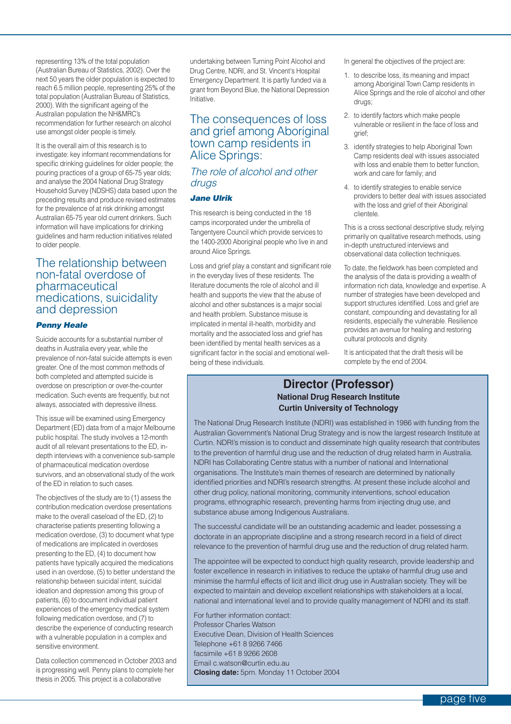representing 13% of the total population (Australian Bureau of Statistics, 2002). Over the next 50 years the older population is expected to reach 6.5 million people, representing 25% of the total population (Australian Bureau of Statistics, 2000). With the significant ageing of the Australian population the NH&MRC's recommendation for further research on alcohol use amongst older people is timely.

It is the overall aim of this research is to investigate: key informant recommendations for specific drinking guidelines for older people; the pouring practices of a group of 65-75 year olds; and analyse the 2004 National Drug Strategy Household Survey (NDSHS) data based upon the preceding results and produce revised estimates for the prevalence of at risk drinking amongst Australian 65-75 year old current drinkers. Such information will have implications for drinking guidelines and harm reduction initiatives related to older people.

### The relationship between non-fatal overdose of pharmaceutical medications, suicidality and depression

### *Penny Heale*

Suicide accounts for a substantial number of deaths in Australia every year, while the prevalence of non-fatal suicide attempts is even greater. One of the most common methods of both completed and attempted suicide is overdose on prescription or over-the-counter medication. Such events are frequently, but not always, associated with depressive illness.

This issue will be examined using Emergency Department (ED) data from of a major Melbourne public hospital. The study involves a 12-month audit of all relevant presentations to the ED, indepth interviews with a convenience sub-sample of pharmaceutical medication overdose survivors, and an observational study of the work of the ED in relation to such cases.

The objectives of the study are to (1) assess the contribution medication overdose presentations make to the overall caseload of the ED, (2) to characterise patients presenting following a medication overdose, (3) to document what type of medications are implicated in overdoses presenting to the ED, (4) to document how patients have typically acquired the medications used in an overdose, (5) to better understand the relationship between suicidal intent, suicidal ideation and depression among this group of patients, (6) to document individual patient experiences of the emergency medical system following medication overdose, and (7) to describe the experience of conducting research with a vulnerable population in a complex and sensitive environment.

Data collection commenced in October 2003 and is progressing well. Penny plans to complete her thesis in 2005. This project is a collaborative

undertaking between Turning Point Alcohol and Drug Centre, NDRI, and St. Vincent's Hospital Emergency Department. It is partly funded via a grant from Beyond Blue, the National Depression Initiative.

### The consequences of loss and grief among Aboriginal town camp residents in Alice Springs:

### *The role of alcohol and other drugs*

#### *Jane Ulrik*

This research is being conducted in the 18 camps incorporated under the umbrella of Tangentyere Council which provide services to the 1400-2000 Aboriginal people who live in and around Alice Springs.

Loss and grief play a constant and significant role in the everyday lives of these residents. The literature documents the role of alcohol and ill health and supports the view that the abuse of alcohol and other substances is a major social and health problem. Substance misuse is implicated in mental ill-health, morbidity and mortality and the associated loss and grief has been identified by mental health services as a significant factor in the social and emotional wellbeing of these individuals.

In general the objectives of the project are:

- 1. to describe loss, its meaning and impact among Aboriginal Town Camp residents in Alice Springs and the role of alcohol and other drugs;
- 2. to identify factors which make people vulnerable or resilient in the face of loss and grief;
- 3. identify strategies to help Aboriginal Town Camp residents deal with issues associated with loss and enable them to better function, work and care for family; and
- 4. to identify strategies to enable service providers to better deal with issues associated with the loss and grief of their Aboriginal clientele.

This is a cross sectional descriptive study, relying primarily on qualitative research methods, using in-depth unstructured interviews and observational data collection techniques.

To date, the fieldwork has been completed and the analysis of the data is providing a wealth of information rich data, knowledge and expertise. A number of strategies have been developed and support structures identified. Loss and grief are constant, compounding and devastating for all residents, especially the vulnerable. Resilience provides an avenue for healing and restoring cultural protocols and dignity.

It is anticipated that the draft thesis will be complete by the end of 2004.

### **Director (Professor) National Drug Research Institute Curtin University of Technology**

The National Drug Research Institute (NDRI) was established in 1986 with funding from the Australian Government's National Drug Strategy and is now the largest research Institute at Curtin. NDRI's mission is to conduct and disseminate high quality research that contributes to the prevention of harmful drug use and the reduction of drug related harm in Australia. NDRI has Collaborating Centre status with a number of national and International organisations. The Institute's main themes of research are determined by nationally identified priorities and NDRI's research strengths. At present these include alcohol and other drug policy, national monitoring, community interventions, school education programs, ethnographic research, preventing harms from injecting drug use, and substance abuse among Indigenous Australians.

The successful candidate will be an outstanding academic and leader, possessing a doctorate in an appropriate discipline and a strong research record in a field of direct relevance to the prevention of harmful drug use and the reduction of drug related harm.

The appointee will be expected to conduct high quality research, provide leadership and foster excellence in research in initiatives to reduce the uptake of harmful drug use and minimise the harmful effects of licit and illicit drug use in Australian society. They will be expected to maintain and develop excellent relationships with stakeholders at a local, national and international level and to provide quality management of NDRI and its staff.

For further information contact: Professor Charles Watson Executive Dean, Division of Health Sciences Telephone +61 8 9266 7466 facsimile +61 8 9266 2608 Email c.watson@curtin.edu.au **Closing date:** 5pm. Monday 11 October 2004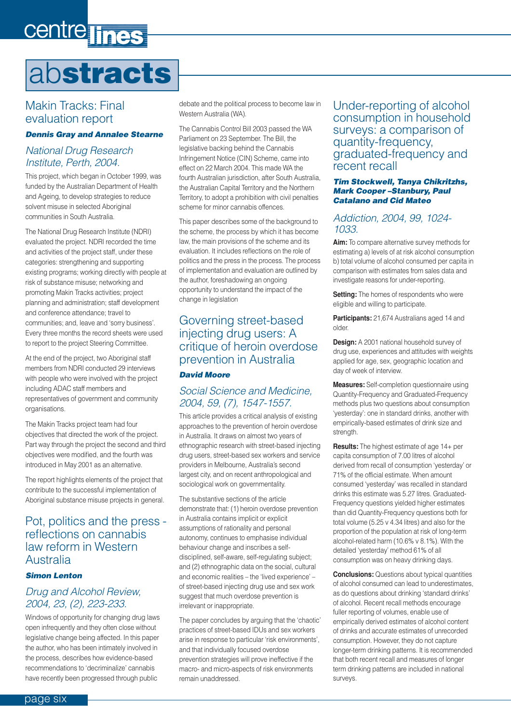# <span id="page-5-0"></span>centre lines

# ab**stracts**

### Makin Tracks: Final evaluation report

### *Dennis Gray and Annalee Stearne*

### *National Drug Research Institute, Perth, 2004.*

This project, which began in October 1999, was funded by the Australian Department of Health and Ageing, to develop strategies to reduce solvent misuse in selected Aboriginal communities in South Australia.

The National Drug Research Institute (NDRI) evaluated the project. NDRI recorded the time and activities of the project staff, under these categories: strengthening and supporting existing programs; working directly with people at risk of substance misuse; networking and promoting Makin Tracks activities; project planning and administration; staff development and conference attendance; travel to communities; and, leave and 'sorry business'. Every three months the record sheets were used to report to the project Steering Committee.

At the end of the project, two Aboriginal staff members from NDRI conducted 29 interviews with people who were involved with the project including ADAC staff members and representatives of government and community organisations.

The Makin Tracks project team had four objectives that directed the work of the project. Part way through the project the second and third objectives were modified, and the fourth was introduced in May 2001 as an alternative.

The report highlights elements of the project that contribute to the successful implementation of Aboriginal substance misuse projects in general.

### Pot, politics and the press reflections on cannabis law reform in Western Australia

### *Simon Lenton*

### *Drug and Alcohol Review, 2004, 23, (2), 223-233.*

Windows of opportunity for changing drug laws open infrequently and they often close without legislative change being affected. In this paper the author, who has been intimately involved in the process, describes how evidence-based recommendations to 'decriminalize' cannabis have recently been progressed through public

debate and the political process to become law in Western Australia (WA).

The Cannabis Control Bill 2003 passed the WA Parliament on 23 September. The Bill, the legislative backing behind the Cannabis Infringement Notice (CIN) Scheme, came into effect on 22 March 2004. This made WA the fourth Australian jurisdiction, after South Australia, the Australian Capital Territory and the Northern Territory, to adopt a prohibition with civil penalties scheme for minor cannabis offences.

This paper describes some of the background to the scheme, the process by which it has become law, the main provisions of the scheme and its evaluation. It includes reflections on the role of politics and the press in the process. The process of implementation and evaluation are outlined by the author, foreshadowing an ongoing opportunity to understand the impact of the change in legislation

### Governing street-based injecting drug users: A critique of heroin overdose prevention in Australia

### *David Moore*

### *Social Science and Medicine, 2004, 59, (7), 1547-1557.*

This article provides a critical analysis of existing approaches to the prevention of heroin overdose in Australia. It draws on almost two years of ethnographic research with street-based injecting drug users, street-based sex workers and service providers in Melbourne, Australia's second largest city, and on recent anthropological and sociological work on governmentality.

The substantive sections of the article demonstrate that: (1) heroin overdose prevention in Australia contains implicit or explicit assumptions of rationality and personal autonomy, continues to emphasise individual behaviour change and inscribes a selfdisciplined, self-aware, self-regulating subject; and (2) ethnographic data on the social, cultural and economic realities – the 'lived experience' – of street-based injecting drug use and sex work suggest that much overdose prevention is irrelevant or inappropriate.

The paper concludes by arguing that the 'chaotic' practices of street-based IDUs and sex workers arise in response to particular 'risk environments', and that individually focused overdose prevention strategies will prove ineffective if the macro- and micro-aspects of risk environments remain unaddressed.

Under-reporting of alcohol consumption in household surveys: a comparison of quantity-frequency, graduated-frequency and recent recall

### *Tim Stockwell, Tanya Chikritzhs, Mark Cooper –Stanbury, Paul Catalano and Cid Mateo*

### *Addiction, 2004, 99, 1024- 1033.*

**Aim:** To compare alternative survey methods for estimating a) levels of at risk alcohol consumption b) total volume of alcohol consumed per capita in comparison with estimates from sales data and investigate reasons for under-reporting.

**Setting:** The homes of respondents who were eligible and willing to participate.

**Participants:** 21,674 Australians aged 14 and older.

**Design:** A 2001 national household survey of drug use, experiences and attitudes with weights applied for age, sex, geographic location and day of week of interview.

**Measures:** Self-completion questionnaire using Quantity-Frequency and Graduated-Frequency methods plus two questions about consumption 'yesterday': one in standard drinks, another with empirically-based estimates of drink size and strength.

**Results:** The highest estimate of age 14+ per capita consumption of 7.00 litres of alcohol derived from recall of consumption 'yesterday' or 71% of the official estimate. When amount consumed 'yesterday' was recalled in standard drinks this estimate was 5.27 litres. Graduated-Frequency questions yielded higher estimates than did Quantity-Frequency questions both for total volume (5.25 v 4.34 litres) and also for the proportion of the population at risk of long-term alcohol-related harm (10.6% v 8.1%). With the detailed 'yesterday' method 61% of all consumption was on heavy drinking days.

**Conclusions:** Questions about typical quantities of alcohol consumed can lead to underestimates, as do questions about drinking 'standard drinks' of alcohol. Recent recall methods encourage fuller reporting of volumes, enable use of empirically derived estimates of alcohol content of drinks and accurate estimates of unrecorded consumption. However, they do not capture longer-term drinking patterns. It is recommended that both recent recall and measures of longer term drinking patterns are included in national surveys.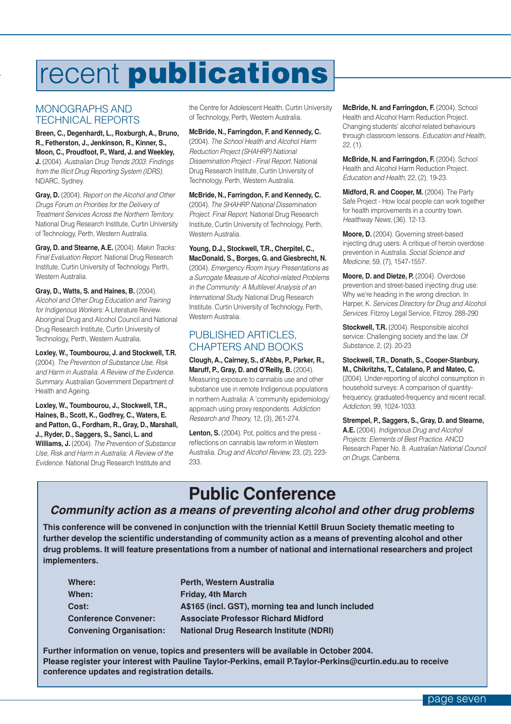# <span id="page-6-0"></span>recent **publications**

### MONOGRAPHS AND TECHNICAL REPORTS

**Breen, C., Degenhardt, L., Roxburgh, A., Bruno, R., Fetherston, J., Jenkinson, R., Kinner, S., Moon, C., Proudfoot, P., Ward, J. and Weekley, J.** (2004). *Australian Drug Trends 2003: Findings from the Illicit Drug Reporting System (IDRS).* NDARC, Sydney.

**Gray, D.** (2004). *Report on the Alcohol and Other Drugs Forum on Priorities for the Delivery of Treatment Services Across the Northern Territory*. National Drug Research Institute, Curtin University of Technology, Perth, Western Australia.

**Gray, D. and Stearne, A.E.** (2004). *Makin Tracks: Final Evaluation Report.* National Drug Research Institute, Curtin University of Technology, Perth, Western Australia.

**Gray, D., Watts, S. and Haines, B.** (2004). *Alcohol and Other Drug Education and Training for Indigenous Workers:* A Literature Review. Aboriginal Drug and Alcohol Council and National Drug Research Institute, Curtin University of Technology, Perth, Western Australia.

**Loxley, W., Toumbourou, J. and Stockwell, T.R.** (2004). *The Prevention of Substance Use, Risk and Harm in Australia. A Review of the Evidence. Summary.* Australian Government Department of Health and Ageing.

**Loxley, W., Toumbourou, J., Stockwell, T.R., Haines, B., Scott, K., Godfrey, C., Waters, E. and Patton, G., Fordham, R., Gray, D., Marshall, J., Ryder, D., Saggers, S., Sanci, L. and Williams, J.** (2004). *The Prevention of Substance Use, Risk and Harm in Australia: A Review of the Evidence.* National Drug Research Institute and

the Centre for Adolescent Health, Curtin University of Technology, Perth, Western Australia.

**McBride, N., Farringdon, F. and Kennedy, C.** (2004). *The School Health and Alcohol Harm Reduction Project (SHAHRP) National Dissemination Project - Final Report.* National Drug Research Institute, Curtin University of Technology, Perth, Western Australia.

**McBride, N., Farringdon, F. and Kennedy, C.** (2004). *The SHAHRP National Dissemination Project. Final Report.* National Drug Research Institute, Curtin University of Technology, Perth, Western Australia.

**Young, D.J., Stockwell, T.R., Cherpitel, C., MacDonald, S., Borges, G. and Giesbrecht, N.** (2004). *Emergency Room Injury Presentations as a Surrogate Measure of Alcohol-related Problems in the Community: A Multilevel Analysis of an International Study.* National Drug Research Institute. Curtin University of Technology, Perth, Western Australia.

### PUBLISHED ARTICLES, CHAPTERS AND BOOKS

**Clough, A., Cairney, S., d'Abbs, P., Parker, R., Maruff, P., Gray, D. and O'Reilly, B.** (2004). Measuring exposure to cannabis use and other substance use in remote Indigenous populations in northern Australia: A 'community epidemiology' approach using proxy respondents. *Addiction Research and Theory,* 12, (3), 261-274.

**Lenton, S.** (2004). Pot, politics and the press reflections on cannabis law reform in Western Australia. *Drug and Alcohol Review,* 23, (2), 223- 233.

**McBride, N. and Farringdon, F.** (2004). School Health and Alcohol Harm Reduction Project. Changing students' alcohol related behaviours through classroom lessons. *Education and Health,* 22, (1).

**McBride, N. and Farringdon, F.** (2004). School Health and Alcohol Harm Reduction Project. *Education and Health,* 22, (2), 19-23.

**Midford, R. and Cooper, M.** (2004). The Party Safe Project - How local people can work together for health improvements in a country town. *Healthway News,* (36). 12-13.

**Moore, D.** (2004). Governing street-based injecting drug users: A critique of heroin overdose prevention in Australia. *Social Science and Medicine,* 59, (7), 1547-1557.

**Moore, D. and Dietze, P.** (2004). Overdose prevention and street-based injecting drug use: Why we're heading in the wrong direction. In Harper, K. *Services Directory for Drug and Alcohol Services.* Fitzroy Legal Service, Fitzroy. 288-290

**Stockwell, T.R.** (2004). Responsible alcohol service: Challenging society and the law. *Of Substance,* 2, (2). 20-23

**Stockwell, T.R., Donath, S., Cooper-Stanbury, M., Chikritzhs, T., Catalano, P. and Mateo, C.** (2004). Under-reporting of alcohol consumption in household surveys: A comparison of quantityfrequency, graduated-frequency and recent recall. *Addiction,* 99, 1024-1033.

**Strempel, P., Saggers, S., Gray, D. and Stearne, A.E.** (2004). *Indigenous Drug and Alcohol Projects: Elements of Best Practice*. ANCD Research Paper No. 8. *Australian National Council on Drugs,* Canberra.

## **Public Conference**

### *Community action as a means of preventing alcohol and other drug problems*

**This conference will be convened in conjunction with the triennial Kettil Bruun Society thematic meeting to further develop the scientific understanding of community action as a means of preventing alcohol and other drug problems. It will feature presentations from a number of national and international researchers and project implementers.**

| Where:                         | Perth, Western Australia                           |
|--------------------------------|----------------------------------------------------|
| When:                          | <b>Friday, 4th March</b>                           |
| Cost:                          | A\$165 (incl. GST), morning tea and lunch included |
| <b>Conference Convener:</b>    | <b>Associate Professor Richard Midford</b>         |
| <b>Convening Organisation:</b> | <b>National Drug Research Institute (NDRI)</b>     |

**Further information on venue, topics and presenters will be available in October 2004. Please register your interest with Pauline Taylor-Perkins, email P.Taylor-Perkins@curtin.edu.au to receive conference updates and registration details.**